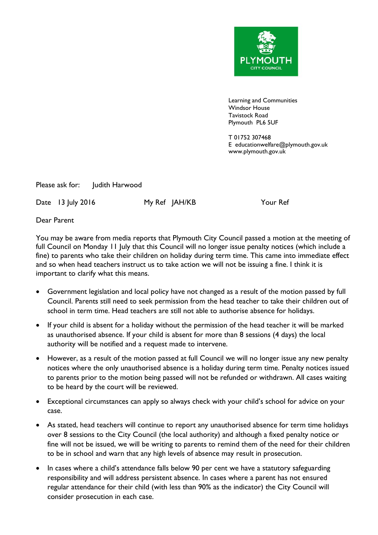

Learning and Communities Windsor House Tavistock Road Plymouth PL6 5UF

T 01752 307468 E educationwelfare@plymouth.gov.uk www.plymouth.gov.uk

Please ask for: Judith Harwood

Date 13 July 2016 My Ref JAH/KB Your Ref

Dear Parent

You may be aware from media reports that Plymouth City Council passed a motion at the meeting of full Council on Monday 11 July that this Council will no longer issue penalty notices (which include a fine) to parents who take their children on holiday during term time. This came into immediate effect and so when head teachers instruct us to take action we will not be issuing a fine. I think it is important to clarify what this means.

- Government legislation and local policy have not changed as a result of the motion passed by full Council. Parents still need to seek permission from the head teacher to take their children out of school in term time. Head teachers are still not able to authorise absence for holidays.
- If your child is absent for a holiday without the permission of the head teacher it will be marked as unauthorised absence. If your child is absent for more than 8 sessions (4 days) the local authority will be notified and a request made to intervene.
- However, as a result of the motion passed at full Council we will no longer issue any new penalty notices where the only unauthorised absence is a holiday during term time. Penalty notices issued to parents prior to the motion being passed will not be refunded or withdrawn. All cases waiting to be heard by the court will be reviewed.
- Exceptional circumstances can apply so always check with your child's school for advice on your case.
- As stated, head teachers will continue to report any unauthorised absence for term time holidays over 8 sessions to the City Council (the local authority) and although a fixed penalty notice or fine will not be issued, we will be writing to parents to remind them of the need for their children to be in school and warn that any high levels of absence may result in prosecution.
- In cases where a child's attendance falls below 90 per cent we have a statutory safeguarding responsibility and will address persistent absence. In cases where a parent has not ensured regular attendance for their child (with less than 90% as the indicator) the City Council will consider prosecution in each case.